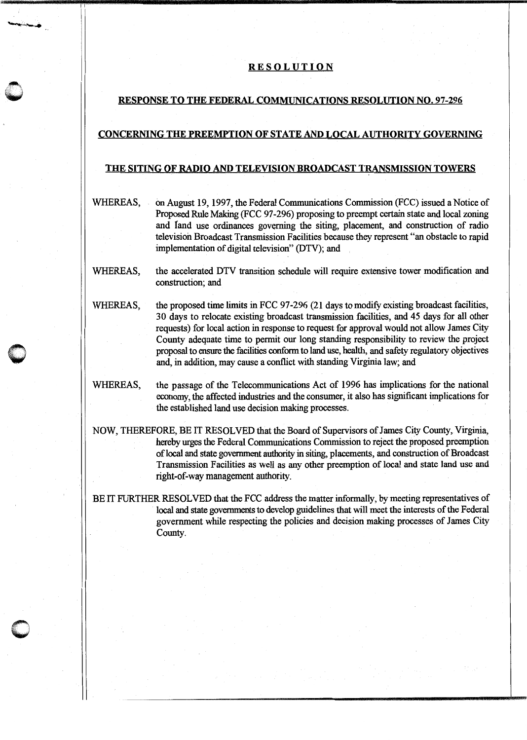## RESOLUTION

11

## RESPONSE TO THE FEDERAL COMMUNICATIONS RESOLUTION NO. 97-296

## CONCERNING THE PREEMPTION OF STATE AND LOCAL AUTHORITY GOVERNING

## THE SITING OF RADIO AND TELEVISION BROADCAST TRANSMISSION TOWERS

- WHEREAS, on August 19, 1997, the Federal Communications Commission (FCC) issued a Notice of Proposed Rule Making (FCC 97-296) proposing to preempt certain state and local zoning and fand use ordinances governing the siting, placement, and construction of radio television Broadcast Transmission Facilities because they represent "an obstacle to rapid implementation of digital television" (DTV); and
- WHEREAS, the accelerated DTV transition schedule will require extensive tower modification and construction; and
- WHEREAS, the proposed time limits in FCC 97-296 (21 days to modify existing broadcast facilities, 30 days to relocate existing broadcast transmission facilities, and 45 days for all other requests) for local action in response to request for approval would not allow James City County adequate time to permit our long standing responsibility to review the project proposal to ensure the facilities conform to land use, health, and safety regulatory objectives and, in addition, may cause a conflict with standing Virginia law; and
- WHEREAS, the passage of the Telecommunications Act of 1996 has implications for the national economy, the affected industries and the consumer, it also has significant implications for the established land use decision making processes.
- NOW, THEREFORE, BE IT RESOLVED that the Board of Supervisors of James City County, Virginia, hereby urges the Federal Communications Commission to reject the proposed preemption oflocal and state government authority in siting, placements, and construction of Broadcast Transmission Facilities as well as any other preemption of local and state land use and right-of-way management authority.

BE IT FURTHER RESOLVED that the FCC address the matter informally, by meeting representatives of local and state governments to develop guidelines that will meet the interests of the Federal government while respecting the policies and decision making processes of James City County.